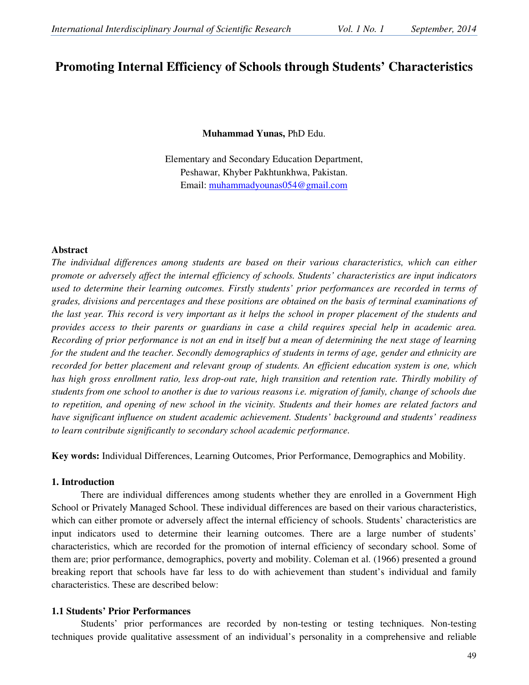# **Promoting Internal Efficiency of Schools through Students' Characteristics**

**Muhammad Yunas,** PhD Edu.

Elementary and Secondary Education Department, Peshawar, Khyber Pakhtunkhwa, Pakistan. Email: muhammadyounas054@gmail.com

#### **Abstract**

*The individual differences among students are based on their various characteristics, which can either promote or adversely affect the internal efficiency of schools. Students' characteristics are input indicators used to determine their learning outcomes. Firstly students' prior performances are recorded in terms of grades, divisions and percentages and these positions are obtained on the basis of terminal examinations of the last year. This record is very important as it helps the school in proper placement of the students and provides access to their parents or guardians in case a child requires special help in academic area. Recording of prior performance is not an end in itself but a mean of determining the next stage of learning for the student and the teacher. Secondly demographics of students in terms of age, gender and ethnicity are recorded for better placement and relevant group of students. An efficient education system is one, which has high gross enrollment ratio, less drop-out rate, high transition and retention rate. Thirdly mobility of students from one school to another is due to various reasons i.e. migration of family, change of schools due to repetition, and opening of new school in the vicinity. Students and their homes are related factors and have significant influence on student academic achievement. Students' background and students' readiness to learn contribute significantly to secondary school academic performance.* 

**Key words:** Individual Differences, Learning Outcomes, Prior Performance, Demographics and Mobility.

# **1. Introduction**

There are individual differences among students whether they are enrolled in a Government High School or Privately Managed School. These individual differences are based on their various characteristics, which can either promote or adversely affect the internal efficiency of schools. Students' characteristics are input indicators used to determine their learning outcomes. There are a large number of students' characteristics, which are recorded for the promotion of internal efficiency of secondary school. Some of them are; prior performance, demographics, poverty and mobility. Coleman et al. (1966) presented a ground breaking report that schools have far less to do with achievement than student's individual and family characteristics. These are described below:

# **1.1 Students' Prior Performances**

Students' prior performances are recorded by non-testing or testing techniques. Non-testing techniques provide qualitative assessment of an individual's personality in a comprehensive and reliable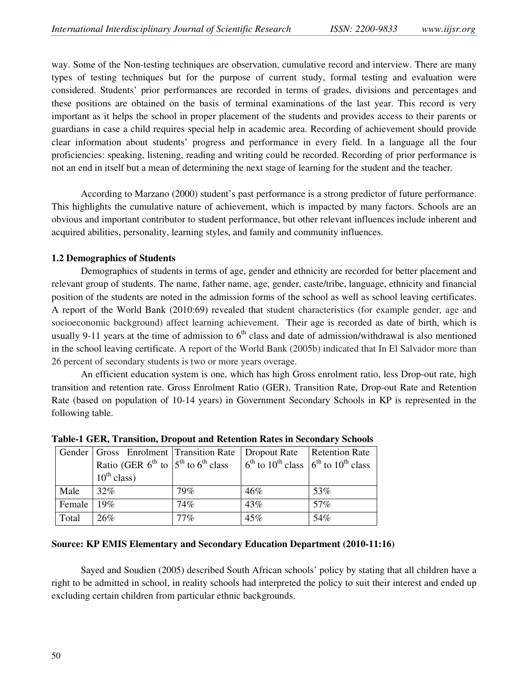way. Some of the Non-testing techniques are observation, cumulative record and interview. There are many types of testing techniques but for the purpose of current study, formal testing and evaluation were considered. Students' prior performances are recorded in terms of grades, divisions and percentages and these positions are obtained on the basis of terminal examinations of the last year. This record is very important as it helps the school in proper placement of the students and provides access to their parents or guardians in case a child requires special help in academic area. Recording of achievement should provide clear information about students' progress and performance in every field. In a language all the four proficiencies: speaking, listening, reading and writing could be recorded. Recording of prior performance is not an end in itself but a mean of determining the next stage of learning for the student and the teacher.

According to Marzano (2000) student's past performance is a strong predictor of future performance. This highlights the cumulative nature of achievement, which is impacted by many factors. Schools are an obvious and important contributor to student performance, but other relevant influences include inherent and acquired abilities, personality, learning styles, and family and community influences.

# **1.2 Demographics of Students**

Demographics of students in terms of age, gender and ethnicity are recorded for better placement and relevant group of students. The name, father name, age, gender, caste/tribe, language, ethnicity and financial position of the students are noted in the admission forms of the school as well as school leaving certificates. A report of the World Bank (2010:69) revealed that student characteristics (for example gender, age and socioeconomic background) affect learning achievement. Their age is recorded as date of birth, which is usually 9-11 years at the time of admission to  $6<sup>th</sup>$  class and date of admission/withdrawal is also mentioned in the school leaving certificate. A report of the World Bank (2005b) indicated that In El Salvador more than 26 percent of secondary students is two or more years overage.

An efficient education system is one, which has high Gross enrolment ratio, less Drop-out rate, high transition and retention rate. Gross Enrolment Ratio (GER), Transition Rate, Drop-out Rate and Retention Rate (based on population of 10-14 years) in Government Secondary Schools in KP is represented in the following table.

|        | Gender   Gross Enrolment   Transition Rate   Dropout Rate   Retention Rate                                |     |     |     |  |  |  |  |  |  |
|--------|-----------------------------------------------------------------------------------------------------------|-----|-----|-----|--|--|--|--|--|--|
|        | Ratio (GER $6^{th}$ to $5^{th}$ to $6^{th}$ class $6^{th}$ to $10^{th}$ class $6^{th}$ to $10^{th}$ class |     |     |     |  |  |  |  |  |  |
|        | $10^{th}$ class)                                                                                          |     |     |     |  |  |  |  |  |  |
| Male   | $32\%$                                                                                                    | 79% | 46% | 53% |  |  |  |  |  |  |
| Female | 19%                                                                                                       | 74% | 43% | 57% |  |  |  |  |  |  |
| Total  | 26%                                                                                                       | 77% | 45% | 54% |  |  |  |  |  |  |

**Table-1 GER, Transition, Dropout and Retention Rates in Secondary Schools**

# **Source: KP EMIS Elementary and Secondary Education Department (2010-11:16)**

Sayed and Soudien (2005) described South African schools' policy by stating that all children have a right to be admitted in school, in reality schools had interpreted the policy to suit their interest and ended up excluding certain children from particular ethnic backgrounds.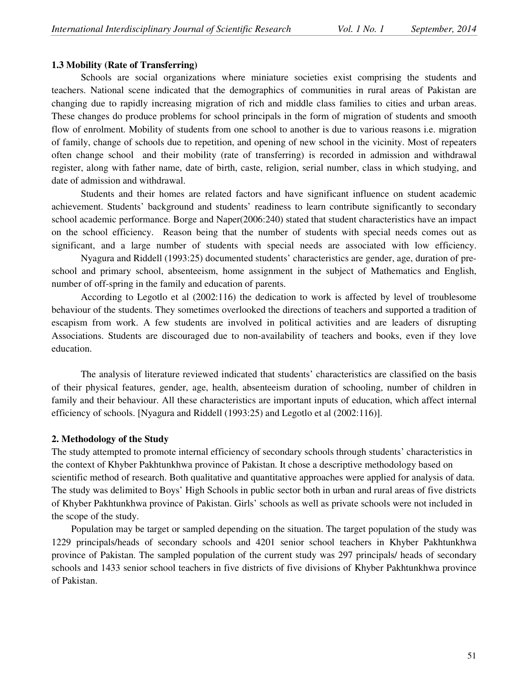### **1.3 Mobility (Rate of Transferring)**

Schools are social organizations where miniature societies exist comprising the students and teachers. National scene indicated that the demographics of communities in rural areas of Pakistan are changing due to rapidly increasing migration of rich and middle class families to cities and urban areas. These changes do produce problems for school principals in the form of migration of students and smooth flow of enrolment. Mobility of students from one school to another is due to various reasons i.e. migration of family, change of schools due to repetition, and opening of new school in the vicinity. Most of repeaters often change school and their mobility (rate of transferring) is recorded in admission and withdrawal register, along with father name, date of birth, caste, religion, serial number, class in which studying, and date of admission and withdrawal.

Students and their homes are related factors and have significant influence on student academic achievement. Students' background and students' readiness to learn contribute significantly to secondary school academic performance. Borge and Naper(2006:240) stated that student characteristics have an impact on the school efficiency. Reason being that the number of students with special needs comes out as significant, and a large number of students with special needs are associated with low efficiency.

 Nyagura and Riddell (1993:25) documented students' characteristics are gender, age, duration of preschool and primary school, absenteeism, home assignment in the subject of Mathematics and English, number of off-spring in the family and education of parents.

According to Legotlo et al (2002:116) the dedication to work is affected by level of troublesome behaviour of the students. They sometimes overlooked the directions of teachers and supported a tradition of escapism from work. A few students are involved in political activities and are leaders of disrupting Associations. Students are discouraged due to non-availability of teachers and books, even if they love education.

The analysis of literature reviewed indicated that students' characteristics are classified on the basis of their physical features, gender, age, health, absenteeism duration of schooling, number of children in family and their behaviour. All these characteristics are important inputs of education, which affect internal efficiency of schools. [Nyagura and Riddell (1993:25) and Legotlo et al (2002:116)].

#### **2. Methodology of the Study**

The study attempted to promote internal efficiency of secondary schools through students' characteristics in the context of Khyber Pakhtunkhwa province of Pakistan. It chose a descriptive methodology based on scientific method of research. Both qualitative and quantitative approaches were applied for analysis of data. The study was delimited to Boys' High Schools in public sector both in urban and rural areas of five districts of Khyber Pakhtunkhwa province of Pakistan. Girls' schools as well as private schools were not included in the scope of the study.

 Population may be target or sampled depending on the situation. The target population of the study was 1229 principals/heads of secondary schools and 4201 senior school teachers in Khyber Pakhtunkhwa province of Pakistan. The sampled population of the current study was 297 principals/ heads of secondary schools and 1433 senior school teachers in five districts of five divisions of Khyber Pakhtunkhwa province of Pakistan.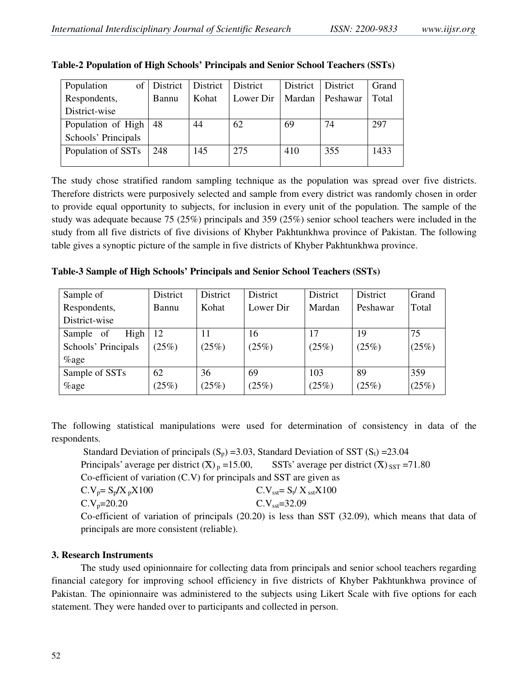| Population          | of District | District | District  | District | <b>District</b> | Grand |
|---------------------|-------------|----------|-----------|----------|-----------------|-------|
| Respondents,        | Bannu       | Kohat    | Lower Dir | Mardan   | Peshawar        | Total |
| District-wise       |             |          |           |          |                 |       |
| Population of High  | 48          | 44       | 62        | 69       | 74              | 297   |
| Schools' Principals |             |          |           |          |                 |       |
| Population of SSTs  | 248         | 145      | 275       | 410      | 355             | 1433  |
|                     |             |          |           |          |                 |       |

| Table-2 Population of High Schools' Principals and Senior School Teachers (SSTs) |  |  |
|----------------------------------------------------------------------------------|--|--|
|                                                                                  |  |  |

The study chose stratified random sampling technique as the population was spread over five districts. Therefore districts were purposively selected and sample from every district was randomly chosen in order to provide equal opportunity to subjects, for inclusion in every unit of the population. The sample of the study was adequate because 75 (25%) principals and 359 (25%) senior school teachers were included in the study from all five districts of five divisions of Khyber Pakhtunkhwa province of Pakistan. The following table gives a synoptic picture of the sample in five districts of Khyber Pakhtunkhwa province.

**Table-3 Sample of High Schools' Principals and Senior School Teachers (SSTs)**

| Sample of              | District | District | District  | District | District | Grand |
|------------------------|----------|----------|-----------|----------|----------|-------|
| Respondents,           | Bannu    | Kohat    | Lower Dir | Mardan   | Peshawar | Total |
| District-wise          |          |          |           |          |          |       |
| High<br>- of<br>Sample | 12       | 11       | 16        | 17       | 19       | 75    |
| Schools' Principals    | (25%)    | (25%)    | (25%)     | (25%)    | (25%)    | (25%) |
| $\%$ age               |          |          |           |          |          |       |
| Sample of SSTs         | 62       | 36       | 69        | 103      | 89       | 359   |
| $\%$ age               | (25%)    | (25%)    | (25%)     | (25%)    | (25%)    | (25%) |

The following statistical manipulations were used for determination of consistency in data of the respondents.

Standard Deviation of principals  $(S_p)$  =3.03, Standard Deviation of SST  $(S_t)$  =23.04 Principals' average per district  $(\overline{X})_p = 15.00$ , SSTs' average per district  $(\overline{X})_{SST} = 71.80$ Co-efficient of variation (C.V) for principals and SST are given as  $C.V_p = S_p / X_p X100$   $C.V_{sst} = S_t / X_{sst} X100$  $C.V<sub>p</sub>=20.20$   $C.V<sub>sst</sub>=32.09$ Co-efficient of variation of principals (20.20) is less than SST (32.09), which means that data of principals are more consistent (reliable).

# **3. Research Instruments**

The study used opinionnaire for collecting data from principals and senior school teachers regarding financial category for improving school efficiency in five districts of Khyber Pakhtunkhwa province of Pakistan. The opinionnaire was administered to the subjects using Likert Scale with five options for each statement. They were handed over to participants and collected in person.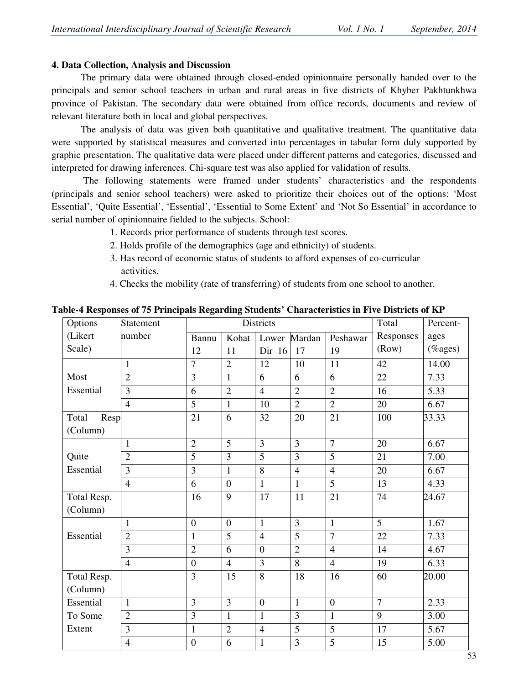# **4. Data Collection, Analysis and Discussion**

The primary data were obtained through closed-ended opinionnaire personally handed over to the principals and senior school teachers in urban and rural areas in five districts of Khyber Pakhtunkhwa province of Pakistan. The secondary data were obtained from office records, documents and review of relevant literature both in local and global perspectives.

The analysis of data was given both quantitative and qualitative treatment. The quantitative data were supported by statistical measures and converted into percentages in tabular form duly supported by graphic presentation. The qualitative data were placed under different patterns and categories, discussed and interpreted for drawing inferences. Chi-square test was also applied for validation of results.

 The following statements were framed under students' characteristics and the respondents (principals and senior school teachers) were asked to prioritize their choices out of the options: 'Most Essential', 'Quite Essential', 'Essential', 'Essential to Some Extent' and 'Not So Essential' in accordance to serial number of opinionnaire fielded to the subjects. School:

- 1. Records prior performance of students through test scores.
- 2. Holds profile of the demographics (age and ethnicity) of students.
- 3. Has record of economic status of students to afford expenses of co-curricular activities.
- 4. Checks the mobility (rate of transferring) of students from one school to another.

| Options                   | Statement      |                  |                | Districts      |                | Total          | Percent-       |         |
|---------------------------|----------------|------------------|----------------|----------------|----------------|----------------|----------------|---------|
| (Likert                   | number         | Bannu            | Kohat          |                | Lower Mardan   | Peshawar       | Responses      | ages    |
| Scale)                    |                | 12               | 11             | Dir 16         | 17             | 19             | (Row)          | (%ages) |
|                           | $\mathbf{1}$   | $\overline{7}$   | $\overline{2}$ | 12             | 10             | 11             | 42             | 14.00   |
| Most                      | $\overline{2}$ | 3                | $\mathbf{1}$   | 6              | 6              | 6              | 22             | 7.33    |
| Essential                 | 3              | 6                | $\overline{2}$ | $\overline{4}$ | $\overline{2}$ | $\overline{2}$ | 16             | 5.33    |
|                           | $\overline{4}$ | 5                | $\mathbf{1}$   | 10             | $\overline{2}$ | $\overline{2}$ | 20             | 6.67    |
| Resp<br>Total<br>(Column) |                | 21               | 6              | 32             | 20             | 21             | 100            | 33.33   |
|                           | $\mathbf{1}$   | $\overline{2}$   | 5              | 3              | $\overline{3}$ | $\overline{7}$ | 20             | 6.67    |
| Quite                     | $\overline{2}$ | 5                | 3              | 5              | 3              | $\overline{5}$ | 21             | 7.00    |
| Essential                 | 3              | 3                | $\mathbf{1}$   | 8              | $\overline{4}$ | $\overline{4}$ | 20             | 6.67    |
|                           | $\overline{4}$ | 6                | $\overline{0}$ | $\mathbf{1}$   | $\mathbf{1}$   | $\overline{5}$ | 13             | 4.33    |
| Total Resp.               |                | 16               | 9              | 17             | 11             | 21             | 74             | 24.67   |
| (Column)                  |                |                  |                |                |                |                |                |         |
|                           | $\mathbf{1}$   | $\overline{0}$   | $\overline{0}$ | $\mathbf{1}$   | 3              | $\mathbf{1}$   | 5              | 1.67    |
| Essential                 | $\overline{2}$ | $\mathbf{1}$     | $\overline{5}$ | $\overline{4}$ | 5              | $\overline{7}$ | 22             | 7.33    |
|                           | 3              | $\overline{2}$   | 6              | $\overline{0}$ | $\overline{2}$ | $\overline{4}$ | 14             | 4.67    |
|                           | $\overline{4}$ | $\overline{0}$   | $\overline{4}$ | $\overline{3}$ | 8              | $\overline{4}$ | 19             | 6.33    |
| Total Resp.               |                | $\overline{3}$   | 15             | 8              | 18             | 16             | 60             | 20.00   |
| (Column)                  |                |                  |                |                |                |                |                |         |
| Essential                 | $\mathbf{1}$   | $\overline{3}$   | 3              | $\overline{0}$ | $\mathbf{1}$   | $\overline{0}$ | $\overline{7}$ | 2.33    |
| To Some                   | $\overline{2}$ | 3                | $\mathbf{1}$   | $\mathbf{1}$   | 3              | $\mathbf{1}$   | 9              | 3.00    |
| Extent                    | 3              | $\mathbf{1}$     | $\overline{2}$ | $\overline{4}$ | 5              | $\overline{5}$ | 17             | 5.67    |
|                           | $\overline{4}$ | $\boldsymbol{0}$ | 6              | $\mathbf{1}$   | 3              | 5              | 15             | 5.00    |

**Table-4 Responses of 75 Principals Regarding Students' Characteristics in Five Districts of KP**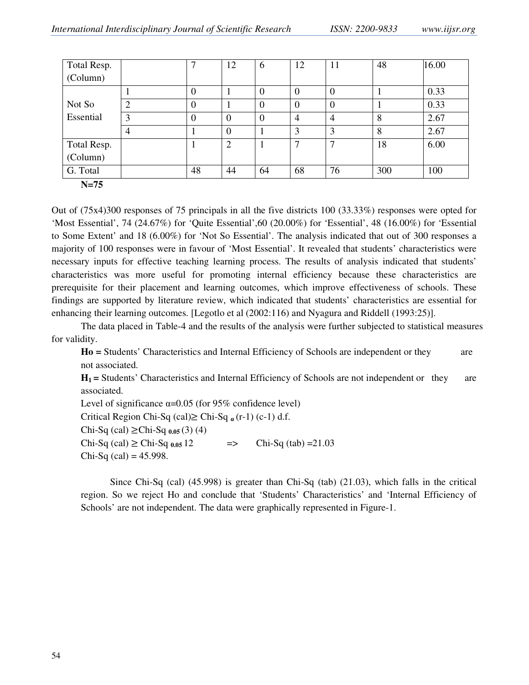| Total Resp. |               | ⇁              | 12             | 6        | 12                       | 11           | 48  | 16.00 |
|-------------|---------------|----------------|----------------|----------|--------------------------|--------------|-----|-------|
| (Column)    |               |                |                |          |                          |              |     |       |
|             |               | $\overline{0}$ |                | $\theta$ | $\theta$                 | $\theta$     |     | 0.33  |
| Not So      | $\mathcal{D}$ | $\theta$       |                | $\theta$ | $\theta$                 | 0            |     | 0.33  |
| Essential   | 3             | $\theta$       | $\theta$       | $\theta$ | 4                        | 4            | 8   | 2.67  |
|             | 4             |                | $\overline{0}$ |          | 3                        | 3            | 8   | 2.67  |
| Total Resp. |               |                | $\overline{2}$ |          | $\overline{\phantom{0}}$ | $\mathbf{r}$ | 18  | 6.00  |
| (Column)    |               |                |                |          |                          |              |     |       |
| G. Total    |               | 48             | 44             | 64       | 68                       | 76           | 300 | 100   |
| $N=75$      |               |                |                |          |                          |              |     |       |

Out of (75x4)300 responses of 75 principals in all the five districts 100 (33.33%) responses were opted for 'Most Essential', 74 (24.67%) for 'Quite Essential',60 (20.00%) for 'Essential', 48 (16.00%) for 'Essential to Some Extent' and 18 (6.00%) for 'Not So Essential'. The analysis indicated that out of 300 responses a majority of 100 responses were in favour of 'Most Essential'. It revealed that students' characteristics were necessary inputs for effective teaching learning process. The results of analysis indicated that students' characteristics was more useful for promoting internal efficiency because these characteristics are prerequisite for their placement and learning outcomes, which improve effectiveness of schools. These findings are supported by literature review, which indicated that students' characteristics are essential for enhancing their learning outcomes. [Legotlo et al (2002:116) and Nyagura and Riddell (1993:25)].

The data placed in Table-4 and the results of the analysis were further subjected to statistical measures for validity.

**Ho =** Students' Characteristics and Internal Efficiency of Schools are independent or they are not associated.

**H1 =** Students' Characteristics and Internal Efficiency of Schools are not independent or they are associated.

Level of significance  $\alpha$ =0.05 (for 95% confidence level) Critical Region Chi-Sq (cal)≥ Chi-Sq **<sup>α</sup>** (r-1) (c-1) d.f. Chi-Sq (cal) ≥Chi-Sq **0.05** (3) (4)  $Chi-Sq (cal) \geq Chi-Sq_{0.05}12$  =>  $Chi-Sq (tab) = 21.03$  $Chi-Sq$  (cal) = 45.998.

Since Chi-Sq (cal) (45.998) is greater than Chi-Sq (tab) (21.03), which falls in the critical region. So we reject Ho and conclude that 'Students' Characteristics' and 'Internal Efficiency of Schools' are not independent. The data were graphically represented in Figure-1.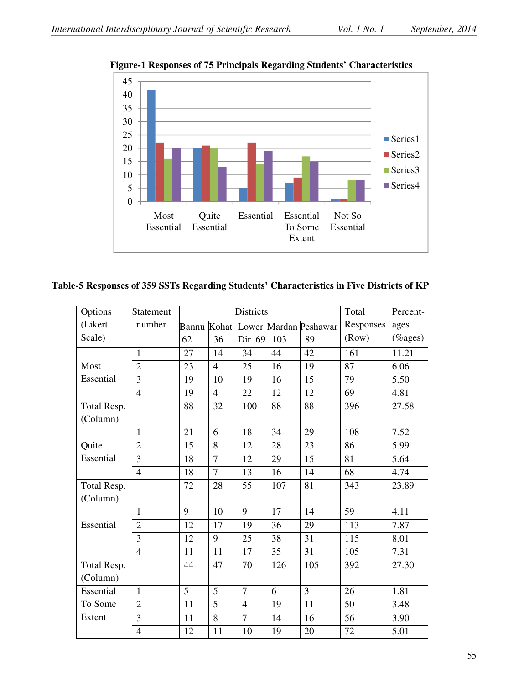

**Figure-1 Responses of 75 Principals Regarding Students' Characteristics** 

# **Table-5 Responses of 359 SSTs Regarding Students' Characteristics in Five Districts of KP**

| Options     | Statement      |    |                | <b>Districts</b> |     |                                   | Total     | Percent-    |
|-------------|----------------|----|----------------|------------------|-----|-----------------------------------|-----------|-------------|
| (Likert     | number         |    |                |                  |     | Bannu Kohat Lower Mardan Peshawar | Responses | ages        |
| Scale)      |                | 62 | 36             | Dir 69           | 103 | 89                                | (Row)     | $(\%$ ages) |
|             | 1              | 27 | 14             | 34               | 44  | 42                                | 161       | 11.21       |
| Most        | $\overline{2}$ | 23 | $\overline{4}$ | 25               | 16  | 19                                | 87        | 6.06        |
| Essential   | 3              | 19 | 10             | 19               | 16  | 15                                | 79        | 5.50        |
|             | $\overline{4}$ | 19 | $\overline{4}$ | 22               | 12  | 12                                | 69        | 4.81        |
| Total Resp. |                | 88 | 32             | 100              | 88  | 88                                | 396       | 27.58       |
| (Column)    |                |    |                |                  |     |                                   |           |             |
|             | $\mathbf{1}$   | 21 | 6              | 18               | 34  | 29                                | 108       | 7.52        |
| Quite       | $\overline{2}$ | 15 | 8              | 12               | 28  | 23                                | 86        | 5.99        |
| Essential   | 3              | 18 | $\overline{7}$ | 12               | 29  | 15                                | 81        | 5.64        |
|             | $\overline{4}$ | 18 | $\overline{7}$ | 13               | 16  | 14                                | 68        | 4.74        |
| Total Resp. |                | 72 | 28             | 55               | 107 | 81                                | 343       | 23.89       |
| (Column)    |                |    |                |                  |     |                                   |           |             |
|             | $\mathbf{1}$   | 9  | 10             | 9                | 17  | 14                                | 59        | 4.11        |
| Essential   | $\overline{2}$ | 12 | 17             | 19               | 36  | 29                                | 113       | 7.87        |
|             | 3              | 12 | 9              | 25               | 38  | 31                                | 115       | 8.01        |
|             | $\overline{4}$ | 11 | 11             | 17               | 35  | 31                                | 105       | 7.31        |
| Total Resp. |                | 44 | 47             | 70               | 126 | 105                               | 392       | 27.30       |
| (Column)    |                |    |                |                  |     |                                   |           |             |
| Essential   | $\mathbf{1}$   | 5  | 5              | $\overline{7}$   | 6   | $\overline{3}$                    | 26        | 1.81        |
| To Some     | $\overline{2}$ | 11 | 5              | $\overline{4}$   | 19  | 11                                | 50        | 3.48        |
| Extent      | 3              | 11 | 8              | $\overline{7}$   | 14  | 16                                | 56        | 3.90        |
|             | $\overline{4}$ | 12 | 11             | 10               | 19  | 20                                | 72        | 5.01        |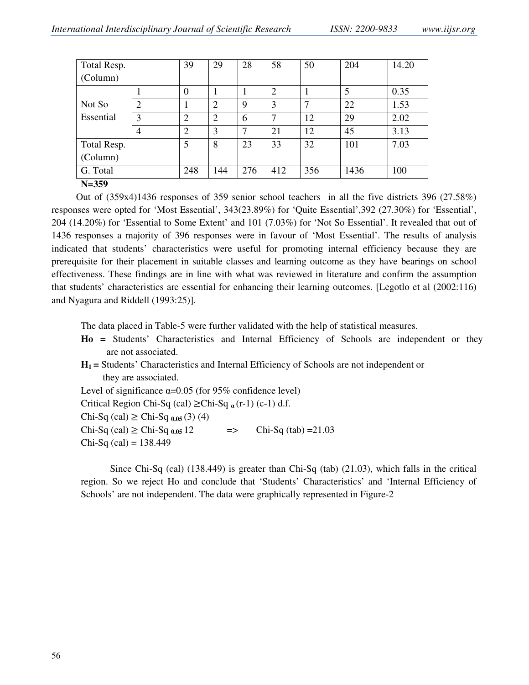| Total Resp. |                | 39             | 29             | 28  | 58  | 50  | 204  | 14.20 |
|-------------|----------------|----------------|----------------|-----|-----|-----|------|-------|
| (Column)    |                |                |                |     |     |     |      |       |
|             |                | $\overline{0}$ |                |     | 2   |     | 5    | 0.35  |
| Not So      | $\overline{2}$ |                | $\overline{2}$ | 9   | 3   |     | 22   | 1.53  |
| Essential   | 3              | $\overline{2}$ | $\overline{2}$ | 6   | 7   | 12  | 29   | 2.02  |
|             | $\overline{A}$ | $\overline{2}$ | 3              | 7   | 21  | 12  | 45   | 3.13  |
| Total Resp. |                | 5              | 8              | 23  | 33  | 32  | 101  | 7.03  |
| (Column)    |                |                |                |     |     |     |      |       |
| G. Total    |                | 248            | 144            | 276 | 412 | 356 | 1436 | 100   |
| $N = 359$   |                |                |                |     |     |     |      |       |

 Out of (359x4)1436 responses of 359 senior school teachers in all the five districts 396 (27.58%) responses were opted for 'Most Essential', 343(23.89%) for 'Quite Essential',392 (27.30%) for 'Essential', 204 (14.20%) for 'Essential to Some Extent' and 101 (7.03%) for 'Not So Essential'. It revealed that out of 1436 responses a majority of 396 responses were in favour of 'Most Essential'. The results of analysis indicated that students' characteristics were useful for promoting internal efficiency because they are prerequisite for their placement in suitable classes and learning outcome as they have bearings on school effectiveness. These findings are in line with what was reviewed in literature and confirm the assumption that students' characteristics are essential for enhancing their learning outcomes. [Legotlo et al (2002:116) and Nyagura and Riddell (1993:25)].

The data placed in Table-5 were further validated with the help of statistical measures.

- **Ho =** Students' Characteristics and Internal Efficiency of Schools are independent or they are not associated.
- **H1 =** Students' Characteristics and Internal Efficiency of Schools are not independent or they are associated.

Level of significance  $\alpha$ =0.05 (for 95% confidence level)

Critical Region Chi-Sq (cal) ≥Chi-Sq **<sup>α</sup>** (r-1) (c-1) d.f.

Chi-Sq (cal) ≥ Chi-Sq **0.05** (3) (4)

Chi-Sq (cal) ≥ Chi-Sq  $_{0.05}$  12 => Chi-Sq (tab) =21.03

 $Chi-Sq$  (cal) = 138.449

 Since Chi-Sq (cal) (138.449) is greater than Chi-Sq (tab) (21.03), which falls in the critical region. So we reject Ho and conclude that 'Students' Characteristics' and 'Internal Efficiency of Schools' are not independent. The data were graphically represented in Figure-2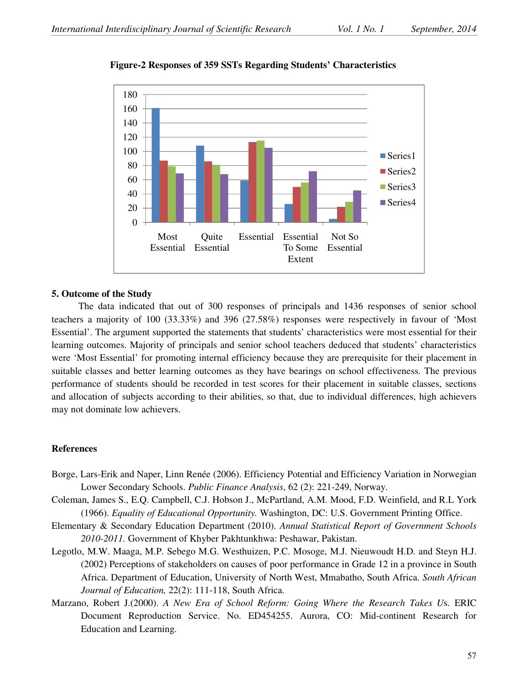

**Figure-2 Responses of 359 SSTs Regarding Students' Characteristics** 

#### **5. Outcome of the Study**

 The data indicated that out of 300 responses of principals and 1436 responses of senior school teachers a majority of 100 (33.33%) and 396 (27.58%) responses were respectively in favour of 'Most Essential'. The argument supported the statements that students' characteristics were most essential for their learning outcomes. Majority of principals and senior school teachers deduced that students' characteristics were 'Most Essential' for promoting internal efficiency because they are prerequisite for their placement in suitable classes and better learning outcomes as they have bearings on school effectiveness. The previous performance of students should be recorded in test scores for their placement in suitable classes, sections and allocation of subjects according to their abilities, so that, due to individual differences, high achievers may not dominate low achievers.

#### **References**

- Borge, Lars-Erik and Naper, Linn Renée (2006). Efficiency Potential and Efficiency Variation in Norwegian Lower Secondary Schools. *Public Finance Analysis*, 62 (2): 221-249, Norway.
- Coleman, James S., E.Q. Campbell, C.J. Hobson J., McPartland, A.M. Mood, F.D. Weinfield, and R.L York (1966). *Equality of Educational Opportunity.* Washington, DC: U.S. Government Printing Office.
- Elementary & Secondary Education Department (2010). *Annual Statistical Report of Government Schools 2010-2011.* Government of Khyber Pakhtunkhwa: Peshawar, Pakistan.
- Legotlo, M.W. Maaga, M.P. Sebego M.G. Westhuizen, P.C. Mosoge, M.J. Nieuwoudt H.D. and Steyn H.J. (2002) Perceptions of stakeholders on causes of poor performance in Grade 12 in a province in South Africa. Department of Education, University of North West, Mmabatho, South Africa. *South African Journal of Education,* 22(2): 111-118, South Africa.
- Marzano, Robert J.(2000). *A New Era of School Reform: Going Where the Research Takes U*s. ERIC Document Reproduction Service. No. ED454255. Aurora, CO: Mid-continent Research for Education and Learning.